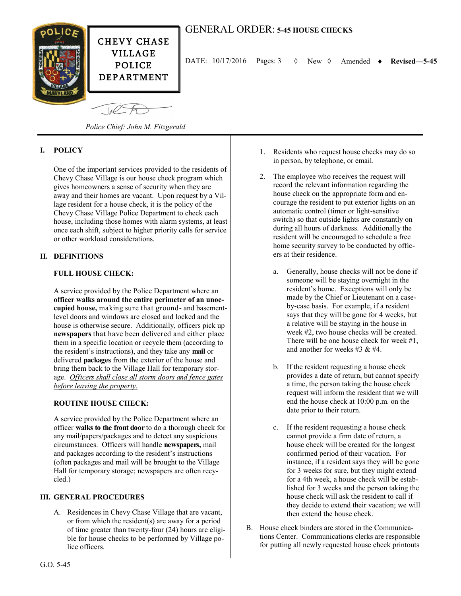

# GENERAL ORDER: **5-45 HOUSE CHECKS**

DATE: 10/17/2016 Pages: 3 New Amended **Revised—5-45**

*Police Chief: John M. Fitzgerald*

## **I. POLICY**

One of the important services provided to the residents of Chevy Chase Village is our house check program which gives homeowners a sense of security when they are away and their homes are vacant. Upon request by a Village resident for a house check, it is the policy of the Chevy Chase Village Police Department to check each house, including those homes with alarm systems, at least once each shift, subject to higher priority calls for service or other workload considerations.

#### **II. DEFINITIONS**

## **FULL HOUSE CHECK:**

A service provided by the Police Department where an **officer walks around the entire perimeter of an unoccupied house,** making sure that ground- and basementlevel doors and windows are closed and locked and the house is otherwise secure. Additionally, officers pick up **newspapers** that have been delivered and either place them in a specific location or recycle them (according to the resident's instructions), and they take any **mail** or delivered **packages** from the exterior of the house and bring them back to the Village Hall for temporary storage. *Officers shall close all storm doors and fence gates before leaving the property.*

#### **ROUTINE HOUSE CHECK:**

A service provided by the Police Department where an officer **walks to the front door** to do a thorough check for any mail/papers/packages and to detect any suspicious circumstances. Officers will handle **newspapers,** mail and packages according to the resident's instructions (often packages and mail will be brought to the Village Hall for temporary storage; newspapers are often recycled.)

#### **III. GENERAL PROCEDURES**

A. Residences in Chevy Chase Village that are vacant, or from which the resident(s) are away for a period of time greater than twenty-four (24) hours are eligible for house checks to be performed by Village police officers.

- 1. Residents who request house checks may do so in person, by telephone, or email.
- 2. The employee who receives the request will record the relevant information regarding the house check on the appropriate form and encourage the resident to put exterior lights on an automatic control (timer or light-sensitive switch) so that outside lights are constantly on during all hours of darkness. Additionally the resident will be encouraged to schedule a free home security survey to be conducted by officers at their residence.
	- a. Generally, house checks will not be done if someone will be staying overnight in the resident's home. Exceptions will only be made by the Chief or Lieutenant on a caseby-case basis. For example, if a resident says that they will be gone for 4 weeks, but a relative will be staying in the house in week #2, two house checks will be created. There will be one house check for week #1. and another for weeks #3 & #4.
	- b. If the resident requesting a house check provides a date of return, but cannot specify a time, the person taking the house check request will inform the resident that we will end the house check at 10:00 p.m. on the date prior to their return.
	- c. If the resident requesting a house check cannot provide a firm date of return, a house check will be created for the longest confirmed period of their vacation. For instance, if a resident says they will be gone for 3 weeks for sure, but they might extend for a 4th week, a house check will be established for 3 weeks and the person taking the house check will ask the resident to call if they decide to extend their vacation; we will then extend the house check.
- B. House check binders are stored in the Communications Center. Communications clerks are responsible for putting all newly requested house check printouts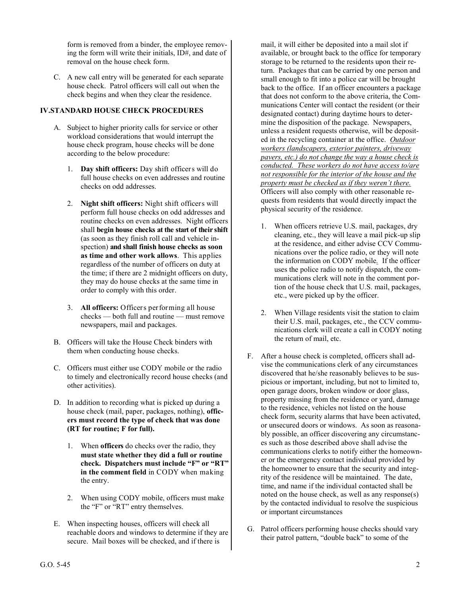form is removed from a binder, the employee removing the form will write their initials, ID#, and date of removal on the house check form.

C. A new call entry will be generated for each separate house check. Patrol officers will call out when the check begins and when they clear the residence.

## **IV.STANDARD HOUSE CHECK PROCEDURES**

- A. Subject to higher priority calls for service or other workload considerations that would interrupt the house check program, house checks will be done according to the below procedure:
	- 1. **Day shift officers:** Day shift officers will do full house checks on even addresses and routine checks on odd addresses.
	- 2. **Night shift officers:** Night shift officers will perform full house checks on odd addresses and routine checks on even addresses. Night officers shall **begin house checks at the start of their shift** (as soon as they finish roll call and vehicle inspection) **and shall finish house checks as soon as time and other work allows**. This applies regardless of the number of officers on duty at the time; if there are 2 midnight officers on duty, they may do house checks at the same time in order to comply with this order.
	- 3. **All officers:** Officers performing all house checks — both full and routine — must remove newspapers, mail and packages.
- B. Officers will take the House Check binders with them when conducting house checks.
- C. Officers must either use CODY mobile or the radio to timely and electronically record house checks (and other activities).
- D. In addition to recording what is picked up during a house check (mail, paper, packages, nothing), **officers must record the type of check that was done (RT for routine; F for full).** 
	- 1. When **officers** do checks over the radio, they **must state whether they did a full or routine check. Dispatchers must include "F" or "RT" in the comment field** in CODY when making the entry.
	- 2. When using CODY mobile, officers must make the "F" or "RT" entry themselves.
- E. When inspecting houses, officers will check all reachable doors and windows to determine if they are secure. Mail boxes will be checked, and if there is

mail, it will either be deposited into a mail slot if available, or brought back to the office for temporary storage to be returned to the residents upon their return. Packages that can be carried by one person and small enough to fit into a police car will be brought back to the office. If an officer encounters a package that does not conform to the above criteria, the Communications Center will contact the resident (or their designated contact) during daytime hours to determine the disposition of the package. Newspapers, unless a resident requests otherwise, will be deposited in the recycling container at the office. *Outdoor workers (landscapers, exterior painters, driveway pavers, etc.) do not change the way a house check is conducted. These workers do not have access to/are not responsible for the interior of the house and the property must be checked as if they weren't there.* Officers will also comply with other reasonable requests from residents that would directly impact the physical security of the residence.

- 1. When officers retrieve U.S. mail, packages, dry cleaning, etc., they will leave a mail pick-up slip at the residence, and either advise CCV Communications over the police radio, or they will note the information on CODY mobile*.* If the officer uses the police radio to notify dispatch, the communications clerk will note in the comment portion of the house check that U.S. mail, packages, etc., were picked up by the officer.
- 2. When Village residents visit the station to claim their U.S. mail, packages, etc., the CCV communications clerk will create a call in CODY noting the return of mail, etc.
- F. After a house check is completed, officers shall advise the communications clerk of any circumstances discovered that he/she reasonably believes to be suspicious or important, including, but not to limited to, open garage doors, broken window or door glass, property missing from the residence or yard, damage to the residence, vehicles not listed on the house check form, security alarms that have been activated, or unsecured doors or windows. As soon as reasonably possible, an officer discovering any circumstances such as those described above shall advise the communications clerks to notify either the homeowner or the emergency contact individual provided by the homeowner to ensure that the security and integrity of the residence will be maintained. The date, time, and name if the individual contacted shall be noted on the house check, as well as any response(s) by the contacted individual to resolve the suspicious or important circumstances
- G. Patrol officers performing house checks should vary their patrol pattern, "double back" to some of the